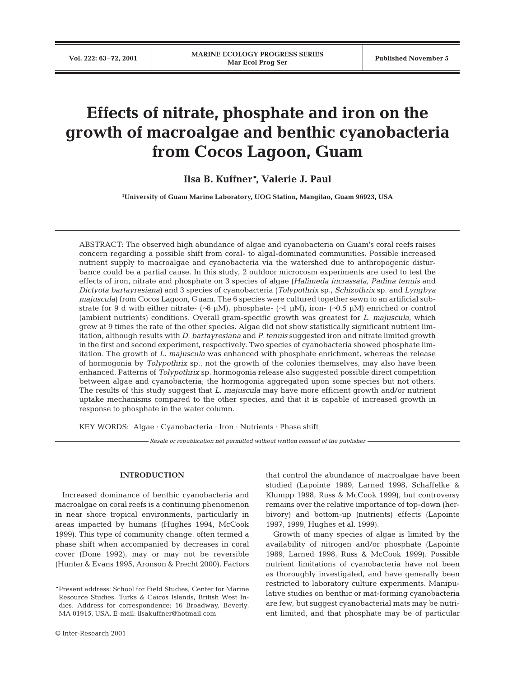# **Effects of nitrate, phosphate and iron on the growth of macroalgae and benthic cyanobacteria from Cocos Lagoon, Guam**

# **Ilsa B. Kuffner\*, Valerie J. Paul**

**1 University of Guam Marine Laboratory, UOG Station, Mangilao, Guam 96923, USA**

ABSTRACT: The observed high abundance of algae and cyanobacteria on Guam's coral reefs raises concern regarding a possible shift from coral- to algal-dominated communities. Possible increased nutrient supply to macroalgae and cyanobacteria via the watershed due to anthropogenic disturbance could be a partial cause. In this study, 2 outdoor microcosm experiments are used to test the effects of iron, nitrate and phosphate on 3 species of algae (*Halimeda incrassata*, *Padina tenuis* and *Dictyota bartayresiana*) and 3 species of cyanobacteria (*Tolypothrix* sp., *Schizothrix* sp. and *Lyngbya majuscula*) from Cocos Lagoon, Guam. The 6 species were cultured together sewn to an artificial substrate for 9 d with either nitrate- (∼6 µM), phosphate- (∼1 µM), iron- (∼0.5 µM) enriched or control (ambient nutrients) conditions. Overall gram-specific growth was greatest for *L. majuscula*, which grew at 9 times the rate of the other species. Algae did not show statistically significant nutrient limitation, although results with *D. bartayresiana* and *P. tenuis* suggested iron and nitrate limited growth in the first and second experiment, respectively. Two species of cyanobacteria showed phosphate limitation. The growth of *L. majuscula* was enhanced with phosphate enrichment, whereas the release of hormogonia by *Tolypothrix* sp., not the growth of the colonies themselves, may also have been enhanced. Patterns of *Tolypothrix* sp. hormogonia release also suggested possible direct competition between algae and cyanobacteria; the hormogonia aggregated upon some species but not others. The results of this study suggest that *L. majuscula* may have more efficient growth and/or nutrient uptake mechanisms compared to the other species, and that it is capable of increased growth in response to phosphate in the water column.

KEY WORDS: Algae · Cyanobacteria · Iron · Nutrients · Phase shift

*Resale or republication not permitted without written consent of the publisher*

# **INTRODUCTION**

Increased dominance of benthic cyanobacteria and macroalgae on coral reefs is a continuing phenomenon in near shore tropical environments, particularly in areas impacted by humans (Hughes 1994, McCook 1999). This type of community change, often termed a phase shift when accompanied by decreases in coral cover (Done 1992), may or may not be reversible (Hunter & Evans 1995, Aronson & Precht 2000). Factors

that control the abundance of macroalgae have been studied (Lapointe 1989, Larned 1998, Schaffelke & Klumpp 1998, Russ & McCook 1999), but controversy remains over the relative importance of top-down (herbivory) and bottom-up (nutrients) effects (Lapointe 1997, 1999, Hughes et al. 1999).

Growth of many species of algae is limited by the availability of nitrogen and/or phosphate (Lapointe 1989, Larned 1998, Russ & McCook 1999). Possible nutrient limitations of cyanobacteria have not been as thoroughly investigated, and have generally been restricted to laboratory culture experiments. Manipulative studies on benthic or mat-forming cyanobacteria are few, but suggest cyanobacterial mats may be nutrient limited, and that phosphate may be of particular

<sup>\*</sup>Present address: School for Field Studies, Center for Marine Resource Studies, Turks & Caicos Islands, British West Indies. Address for correspondence: 16 Broadway, Beverly, MA 01915, USA. E-mail: ilsakuffner@hotmail.com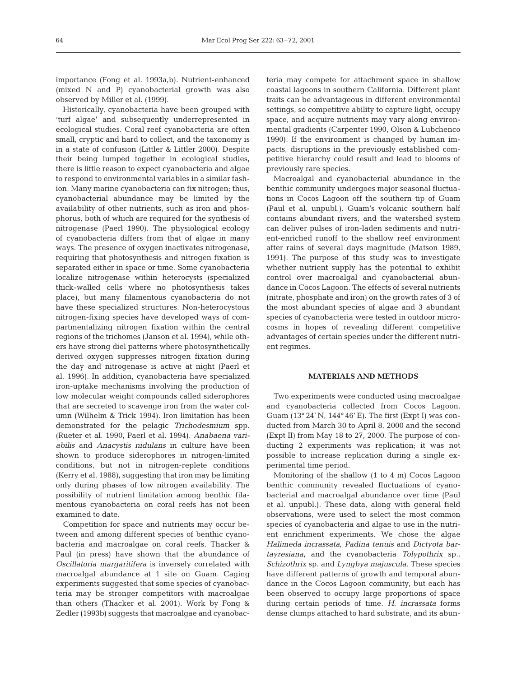importance (Fong et al. 1993a,b). Nutrient-enhanced (mixed N and P) cyanobacterial growth was also observed by Miller et al. (1999).

Historically, cyanobacteria have been grouped with 'turf algae' and subsequently underrepresented in ecological studies. Coral reef cyanobacteria are often small, cryptic and hard to collect, and the taxonomy is in a state of confusion (Littler & Littler 2000). Despite their being lumped together in ecological studies, there is little reason to expect cyanobacteria and algae to respond to environmental variables in a similar fashion. Many marine cyanobacteria can fix nitrogen; thus, cyanobacterial abundance may be limited by the availability of other nutrients, such as iron and phosphorus, both of which are required for the synthesis of nitrogenase (Paerl 1990). The physiological ecology of cyanobacteria differs from that of algae in many ways. The presence of oxygen inactivates nitrogenase, requiring that photosynthesis and nitrogen fixation is separated either in space or time. Some cyanobacteria localize nitrogenase within heterocysts (specialized thick-walled cells where no photosynthesis takes place), but many filamentous cyanobacteria do not have these specialized structures. Non-heterocystous nitrogen-fixing species have developed ways of compartmentalizing nitrogen fixation within the central regions of the trichomes (Janson et al. 1994), while others have strong diel patterns where photosynthetically derived oxygen suppresses nitrogen fixation during the day and nitrogenase is active at night (Paerl et al. 1996). In addition, cyanobacteria have specialized iron-uptake mechanisms involving the production of low molecular weight compounds called siderophores that are secreted to scavenge iron from the water column (Wilhelm & Trick 1994). Iron limitation has been demonstrated for the pelagic *Trichodesmium* spp. (Rueter et al. 1990, Paerl et al. 1994). *Anabaena variabilis* and *Anacystis nidulans* in culture have been shown to produce siderophores in nitrogen-limited conditions, but not in nitrogen-replete conditions (Kerry et al. 1988), suggesting that iron may be limiting only during phases of low nitrogen availability. The possibility of nutrient limitation among benthic filamentous cyanobacteria on coral reefs has not been examined to date.

Competition for space and nutrients may occur between and among different species of benthic cyanobacteria and macroalgae on coral reefs. Thacker & Paul (in press) have shown that the abundance of *Oscillatoria margaritifera* is inversely correlated with macroalgal abundance at 1 site on Guam. Caging experiments suggested that some species of cyanobacteria may be stronger competitors with macroalgae than others (Thacker et al. 2001). Work by Fong & Zedler (1993b) suggests that macroalgae and cyanobac-

teria may compete for attachment space in shallow coastal lagoons in southern California. Different plant traits can be advantageous in different environmental settings, so competitive ability to capture light, occupy space, and acquire nutrients may vary along environmental gradients (Carpenter 1990, Olson & Lubchenco 1990). If the environment is changed by human impacts, disruptions in the previously established competitive hierarchy could result and lead to blooms of previously rare species.

Macroalgal and cyanobacterial abundance in the benthic community undergoes major seasonal fluctuations in Cocos Lagoon off the southern tip of Guam (Paul et al. unpubl.). Guam's volcanic southern half contains abundant rivers, and the watershed system can deliver pulses of iron-laden sediments and nutrient-enriched runoff to the shallow reef environment after rains of several days magnitude (Matson 1989, 1991). The purpose of this study was to investigate whether nutrient supply has the potential to exhibit control over macroalgal and cyanobacterial abundance in Cocos Lagoon. The effects of several nutrients (nitrate, phosphate and iron) on the growth rates of 3 of the most abundant species of algae and 3 abundant species of cyanobacteria were tested in outdoor microcosms in hopes of revealing different competitive advantages of certain species under the different nutrient regimes.

# **MATERIALS AND METHODS**

Two experiments were conducted using macroalgae and cyanobacteria collected from Cocos Lagoon, Guam  $(13^{\circ} 24' N, 144^{\circ} 46' E)$ . The first (Expt I) was conducted from March 30 to April 8, 2000 and the second (Expt II) from May 18 to 27, 2000. The purpose of conducting 2 experiments was replication; it was not possible to increase replication during a single experimental time period.

Monitoring of the shallow (1 to 4 m) Cocos Lagoon benthic community revealed fluctuations of cyanobacterial and macroalgal abundance over time (Paul et al. unpubl.). These data, along with general field observations, were used to select the most common species of cyanobacteria and algae to use in the nutrient enrichment experiments. We chose the algae *Halimeda incrassata*, *Padina tenuis* and *Dictyota bartayresiana*, and the cyanobacteria *Tolypothrix* sp., *Schizothrix* sp. and *Lyngbya majuscula*. These species have different patterns of growth and temporal abundance in the Cocos Lagoon community, but each has been observed to occupy large proportions of space during certain periods of time. *H. incrassata* forms dense clumps attached to hard substrate, and its abun-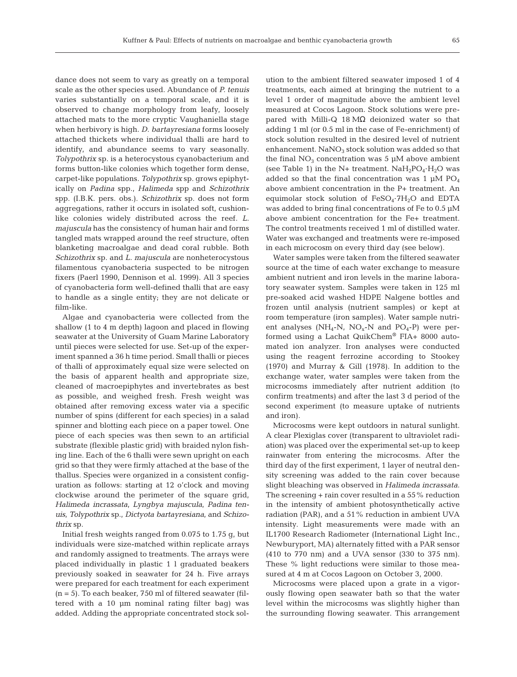dance does not seem to vary as greatly on a temporal scale as the other species used. Abundance of *P. tenuis* varies substantially on a temporal scale, and it is observed to change morphology from leafy, loosely attached mats to the more cryptic Vaughaniella stage when herbivory is high. *D. bartayresiana* forms loosely attached thickets where individual thalli are hard to identify, and abundance seems to vary seasonally. *Tolypothrix* sp. is a heterocystous cyanobacterium and forms button-like colonies which together form dense, carpet-like populations. *Tolypothrix* sp. grows epiphytically on *Padina* spp., *Halimeda* spp and *Schizothrix* spp. (I.B.K. pers. obs.). *Schizothrix* sp. does not form aggregations, rather it occurs in isolated soft, cushionlike colonies widely distributed across the reef. *L. majuscula* has the consistency of human hair and forms tangled mats wrapped around the reef structure, often blanketing macroalgae and dead coral rubble. Both *Schizothrix* sp. and *L. majuscula* are nonheterocystous filamentous cyanobacteria suspected to be nitrogen fixers (Paerl 1990, Dennison et al. 1999). All 3 species of cyanobacteria form well-defined thalli that are easy to handle as a single entity; they are not delicate or film-like.

Algae and cyanobacteria were collected from the shallow (1 to 4 m depth) lagoon and placed in flowing seawater at the University of Guam Marine Laboratory until pieces were selected for use. Set-up of the experiment spanned a 36 h time period. Small thalli or pieces of thalli of approximately equal size were selected on the basis of apparent health and appropriate size, cleaned of macroepiphytes and invertebrates as best as possible, and weighed fresh. Fresh weight was obtained after removing excess water via a specific number of spins (different for each species) in a salad spinner and blotting each piece on a paper towel. One piece of each species was then sewn to an artificial substrate (flexible plastic grid) with braided nylon fishing line. Each of the 6 thalli were sewn upright on each grid so that they were firmly attached at the base of the thallus. Species were organized in a consistent configuration as follows: starting at 12 o'clock and moving clockwise around the perimeter of the square grid, *Halimeda incrassata*, *Lyngbya majuscula*, *Padina tenuis*, *Tolypothrix* sp., *Dictyota bartayresiana*, and *Schizothrix* sp.

Initial fresh weights ranged from 0.075 to 1.75 g, but individuals were size-matched within replicate arrays and randomly assigned to treatments. The arrays were placed individually in plastic 1 l graduated beakers previously soaked in seawater for 24 h. Five arrays were prepared for each treatment for each experiment  $(n = 5)$ . To each beaker, 750 ml of filtered seawater (filtered with a 10 µm nominal rating filter bag) was added. Adding the appropriate concentrated stock sol-

ution to the ambient filtered seawater imposed 1 of 4 treatments, each aimed at bringing the nutrient to a level 1 order of magnitude above the ambient level measured at Cocos Lagoon. Stock solutions were prepared with Milli-Q  $18 \text{ M}\Omega$  deionized water so that adding 1 ml (or 0.5 ml in the case of Fe-enrichment) of stock solution resulted in the desired level of nutrient enhancement.  $NaNO<sub>3</sub>$  stock solution was added so that the final  $NO<sub>3</sub>$  concentration was 5  $\mu$ M above ambient (see Table 1) in the N+ treatment.  $NaH_2PO_4·H_2O$  was added so that the final concentration was 1  $\mu$ M PO<sub>4</sub> above ambient concentration in the P+ treatment. An equimolar stock solution of  $FeSO_4·7H_2O$  and EDTA was added to bring final concentrations of Fe to 0.5 µM above ambient concentration for the Fe+ treatment. The control treatments received 1 ml of distilled water. Water was exchanged and treatments were re-imposed in each microcosm on every third day (see below).

Water samples were taken from the filtered seawater source at the time of each water exchange to measure ambient nutrient and iron levels in the marine laboratory seawater system. Samples were taken in 125 ml pre-soaked acid washed HDPE Nalgene bottles and frozen until analysis (nutrient samples) or kept at room temperature (iron samples). Water sample nutrient analyses ( $NH_4-N$ ,  $NO_x-N$  and  $PO_4-P$ ) were performed using a Lachat QuikChem® FIA+ 8000 automated ion analyzer. Iron analyses were conducted using the reagent ferrozine according to Stookey (1970) and Murray & Gill (1978). In addition to the exchange water, water samples were taken from the microcosms immediately after nutrient addition (to confirm treatments) and after the last 3 d period of the second experiment (to measure uptake of nutrients and iron).

Microcosms were kept outdoors in natural sunlight. A clear Plexiglas cover (transparent to ultraviolet radiation) was placed over the experimental set-up to keep rainwater from entering the microcosms. After the third day of the first experiment, 1 layer of neutral density screening was added to the rain cover because slight bleaching was observed in *Halimeda incrassata*. The screening + rain cover resulted in a 55% reduction in the intensity of ambient photosynthetically active radiation (PAR), and a 51% reduction in ambient UVA intensity. Light measurements were made with an IL1700 Research Radiometer (International Light Inc., Newburyport, MA) alternately fitted with a PAR sensor (410 to 770 nm) and a UVA sensor (330 to 375 nm). These % light reductions were similar to those measured at 4 m at Cocos Lagoon on October 3, 2000.

Microcosms were placed upon a grate in a vigorously flowing open seawater bath so that the water level within the microcosms was slightly higher than the surrounding flowing seawater. This arrangement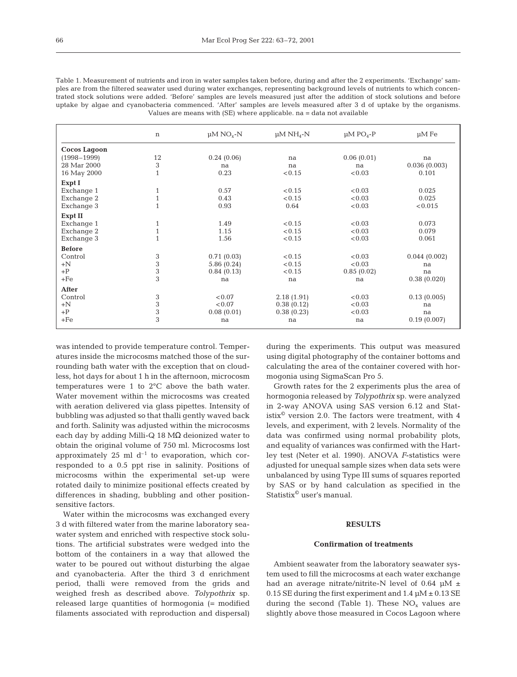|                     | Values are means with (SE) where applicable. na = data not available |                            |                            |                            |              |
|---------------------|----------------------------------------------------------------------|----------------------------|----------------------------|----------------------------|--------------|
|                     | $\mathbf n$                                                          | $\mu$ M NO <sub>v</sub> -N | $\mu$ M NH <sub>4</sub> -N | $\mu$ M PO <sub>4</sub> -P | $\mu$ M Fe   |
| <b>Cocos Lagoon</b> |                                                                      |                            |                            |                            |              |
| $(1998 - 1999)$     | 12                                                                   | 0.24(0.06)                 | na                         | 0.06(0.01)                 | na           |
| 28 Mar 2000         | 3                                                                    | na                         | na                         | na                         | 0.036(0.003) |
| 16 May 2000         | $\mathbf{1}$                                                         | 0.23                       | < 0.15                     | < 0.03                     | 0.101        |
| Expt I              |                                                                      |                            |                            |                            |              |
| Exchange 1          | 1                                                                    | 0.57                       | < 0.15                     | < 0.03                     | 0.025        |
| Exchange 2          | $\mathbf{1}$                                                         | 0.43                       | < 0.15                     | < 0.03                     | 0.025        |
| Exchange 3          | $\mathbf{1}$                                                         | 0.93                       | 0.64                       | < 0.03                     | < 0.015      |
| Expt II             |                                                                      |                            |                            |                            |              |
| Exchange 1          | $\mathbf{1}$                                                         | 1.49                       | < 0.15                     | < 0.03                     | 0.073        |
| Exchange 2          | $\mathbf{1}$                                                         | 1.15                       | < 0.15                     | < 0.03                     | 0.079        |
| Exchange 3          | $\mathbf{1}$                                                         | 1.56                       | < 0.15                     | < 0.03                     | 0.061        |
| <b>Before</b>       |                                                                      |                            |                            |                            |              |
| Control             | 3                                                                    | 0.71(0.03)                 | < 0.15                     | < 0.03                     | 0.044(0.002) |
| $+N$                | 3                                                                    | 5.86(0.24)                 | < 0.15                     | < 0.03                     | na           |
| $+P$                | 3                                                                    | 0.84(0.13)                 | < 0.15                     | 0.85(0.02)                 | na           |
| $+Fe$               | 3                                                                    | na                         | na                         | na                         | 0.38(0.020)  |
| After               |                                                                      |                            |                            |                            |              |
| Control             | 3                                                                    | < 0.07                     | 2.18(1.91)                 | < 0.03                     | 0.13(0.005)  |

 $+N$   $3$   $< 0.07$   $0.38$   $(0.12)$   $< 0.03$  na +P 3 0.08 (0.01) 0.38 (0.23) <0.03 na +Fe 3 na na na 0.19 (0.007)

Table 1. Measurement of nutrients and iron in water samples taken before, during and after the 2 experiments. 'Exchange' samples are from the filtered seawater used during water exchanges, representing background levels of nutrients to which concentrated stock solutions were added. 'Before' samples are levels measured just after the addition of stock solutions and before uptake by algae and cyanobacteria commenced. 'After' samples are levels measured after 3 d of uptake by the organisms.

was intended to provide temperature control. Temperatures inside the microcosms matched those of the surrounding bath water with the exception that on cloudless, hot days for about 1 h in the afternoon, microcosm temperatures were 1 to 2°C above the bath water. Water movement within the microcosms was created with aeration delivered via glass pipettes. Intensity of bubbling was adjusted so that thalli gently waved back and forth. Salinity was adjusted within the microcosms each day by adding Milli-Q 18 MΩ deionized water to obtain the original volume of 750 ml. Microcosms lost approximately 25 ml  $d^{-1}$  to evaporation, which corresponded to a 0.5 ppt rise in salinity. Positions of microcosms within the experimental set-up were rotated daily to minimize positional effects created by differences in shading, bubbling and other positionsensitive factors.

Water within the microcosms was exchanged every 3 d with filtered water from the marine laboratory seawater system and enriched with respective stock solutions. The artificial substrates were wedged into the bottom of the containers in a way that allowed the water to be poured out without disturbing the algae and cyanobacteria. After the third 3 d enrichment period, thalli were removed from the grids and weighed fresh as described above. *Tolypothrix* sp. released large quantities of hormogonia (= modified filaments associated with reproduction and dispersal) during the experiments. This output was measured using digital photography of the container bottoms and calculating the area of the container covered with hormogonia using SigmaScan Pro 5.

Growth rates for the 2 experiments plus the area of hormogonia released by *Tolypothrix* sp. were analyzed in 2-way ANOVA using SAS version 6.12 and Statistix<sup> $\circ$ </sup> version 2.0. The factors were treatment, with 4 levels, and experiment, with 2 levels. Normality of the data was confirmed using normal probability plots, and equality of variances was confirmed with the Hartley test (Neter et al. 1990). ANOVA *F*-statistics were adjusted for unequal sample sizes when data sets were unbalanced by using Type III sums of squares reported by SAS or by hand calculation as specified in the Statistix© user's manual.

#### **RESULTS**

# **Confirmation of treatments**

Ambient seawater from the laboratory seawater system used to fill the microcosms at each water exchange had an average nitrate/nitrite-N level of 0.64  $\mu$ M  $\pm$ 0.15 SE during the first experiment and  $1.4 \mu M \pm 0.13$  SE during the second (Table 1). These  $NO<sub>x</sub>$  values are slightly above those measured in Cocos Lagoon where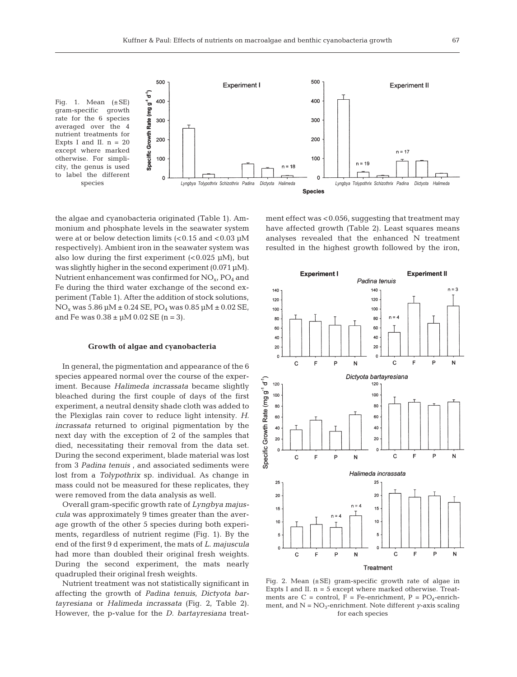Fig. 1. Mean (±SE)<br>gram-specific growth gram-specific rate for the 6 species averaged over the 4 nutrient treatments for Expts I and II.  $n = 20$ except where marked otherwise. For simplicity, the genus is used to label the different species



the algae and cyanobacteria originated (Table 1). Ammonium and phosphate levels in the seawater system were at or below detection limits  $( $0.15$  and  $$0.03$  µM$$ respectively). Ambient iron in the seawater system was also low during the first experiment  $( $0.025 \mu M$ )$ , but was slightly higher in the second experiment  $(0.071 \,\mathrm{\upmu M})$ . Nutrient enhancement was confirmed for  $NO_{x}$ ,  $PO_{4}$  and Fe during the third water exchange of the second experiment (Table 1). After the addition of stock solutions, NO<sub>x</sub> was 5.86  $\mu$ M  $\pm$  0.24 SE, PO<sub>4</sub> was 0.85  $\mu$ M  $\pm$  0.02 SE, and Fe was  $0.38 \pm \mu M 0.02$  SE (n = 3).

# **Growth of algae and cyanobacteria**

In general, the pigmentation and appearance of the 6 species appeared normal over the course of the experiment. Because *Halimeda incrassata* became slightly bleached during the first couple of days of the first experiment, a neutral density shade cloth was added to the Plexiglas rain cover to reduce light intensity. *H. incrassata* returned to original pigmentation by the next day with the exception of 2 of the samples that died, necessitating their removal from the data set. During the second experiment, blade material was lost from 3 *Padina tenuis* , and associated sediments were lost from a *Tolypothrix* sp. individual. As change in mass could not be measured for these replicates, they were removed from the data analysis as well.

Overall gram-specific growth rate of *Lyngbya majuscula* was approximately 9 times greater than the average growth of the other 5 species during both experiments, regardless of nutrient regime (Fig. 1). By the end of the first 9 d experiment, the mats of *L. majuscula* had more than doubled their original fresh weights. During the second experiment, the mats nearly quadrupled their original fresh weights.

Nutrient treatment was not statistically significant in affecting the growth of *Padina tenuis*, *Dictyota bartayresiana* or *Halimeda incrassata* (Fig. 2, Table 2). However, the p-value for the *D. bartayresiana* treatment effect was <0.056, suggesting that treatment may have affected growth (Table 2). Least squares means analyses revealed that the enhanced N treatment resulted in the highest growth followed by the iron,



Fig. 2. Mean  $(\pm SE)$  gram-specific growth rate of algae in Expts I and II. n = 5 except where marked otherwise. Treatments are C = control, F = Fe-enrichment, P =  $PO<sub>4</sub>$ -enrichment, and  $N = NO_3$ -enrichment. Note different *y*-axis scaling for each species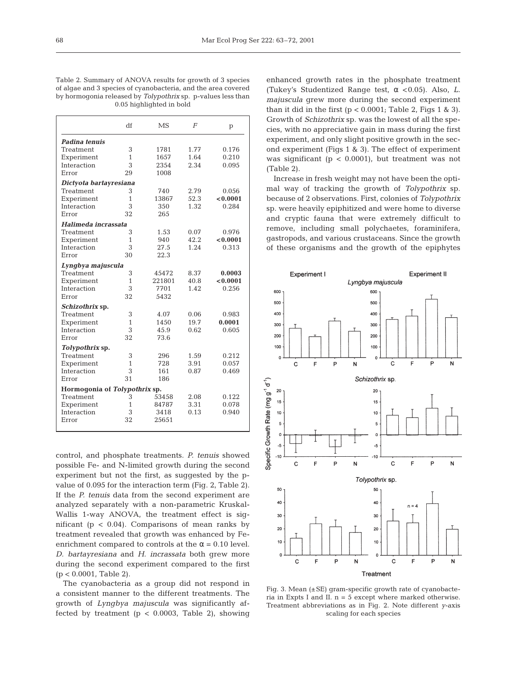Table 2. Summary of ANOVA results for growth of 3 species of algae and 3 species of cyanobacteria, and the area covered by hormogonia released by *Tolypothrix* sp. p-values less than 0.05 highlighted in bold

|                               | df | MS     | F    | p        |  |  |  |  |
|-------------------------------|----|--------|------|----------|--|--|--|--|
| Padina tenuis                 |    |        |      |          |  |  |  |  |
| Treatment                     | 3  | 1781   | 1.77 | 0.176    |  |  |  |  |
| Experiment                    | 1  | 1657   | 1.64 | 0.210    |  |  |  |  |
| Interaction                   | 3  | 2354   | 2.34 | 0.095    |  |  |  |  |
| Error                         | 29 | 1008   |      |          |  |  |  |  |
| Dictyota bartayresiana        |    |        |      |          |  |  |  |  |
| Treatment                     | 3  | 740    | 2.79 | 0.056    |  |  |  |  |
| Experiment                    | 1  | 13867  | 52.3 | < 0.0001 |  |  |  |  |
| Interaction                   | 3  | 350    | 1.32 | 0.284    |  |  |  |  |
| Error                         | 32 | 265    |      |          |  |  |  |  |
| Halimeda incrassata           |    |        |      |          |  |  |  |  |
| Treatment                     | 3  | 1.53   | 0.07 | 0.976    |  |  |  |  |
| Experiment                    | 1  | 940    | 42.2 | 0.0001   |  |  |  |  |
| Interaction                   | 3  | 27.5   | 1.24 | 0.313    |  |  |  |  |
| Error                         | 30 | 22.3   |      |          |  |  |  |  |
| Lyngbya majuscula             |    |        |      |          |  |  |  |  |
| Treatment                     | 3  | 45472  | 8.37 | 0.0003   |  |  |  |  |
| Experiment                    | 1  | 221801 | 40.8 | 0.0001   |  |  |  |  |
| Interaction                   | 3  | 7701   | 1.42 | 0.256    |  |  |  |  |
| Error                         | 32 | 5432   |      |          |  |  |  |  |
| Schizothrix sp.               |    |        |      |          |  |  |  |  |
| Treatment                     | 3  | 4.07   | 0.06 | 0.983    |  |  |  |  |
| Experiment                    | 1  | 1450   | 19.7 | 0.0001   |  |  |  |  |
| Interaction                   | 3  | 45.9   | 0.62 | 0.605    |  |  |  |  |
| Error                         | 32 | 73.6   |      |          |  |  |  |  |
| Tolypothrix sp.               |    |        |      |          |  |  |  |  |
| Treatment                     | 3  | 296    | 1.59 | 0.212    |  |  |  |  |
| Experiment                    | 1  | 728    | 3.91 | 0.057    |  |  |  |  |
| Interaction                   | 3  | 161    | 0.87 | 0.469    |  |  |  |  |
| Error                         | 31 | 186    |      |          |  |  |  |  |
| Hormogonia of Tolypothrix sp. |    |        |      |          |  |  |  |  |
| Treatment                     | 3  | 53458  | 2.08 | 0.122    |  |  |  |  |
| Experiment                    | 1  | 84787  | 3.31 | 0.078    |  |  |  |  |
| Interaction                   | 3  | 3418   | 0.13 | 0.940    |  |  |  |  |
| Error                         | 32 | 25651  |      |          |  |  |  |  |

control, and phosphate treatments. *P. tenuis* showed possible Fe- and N-limited growth during the second experiment but not the first, as suggested by the pvalue of 0.095 for the interaction term (Fig. 2, Table 2). If the *P. tenuis* data from the second experiment are analyzed separately with a non-parametric Kruskal-Wallis 1-way ANOVA, the treatment effect is significant ( $p < 0.04$ ). Comparisons of mean ranks by treatment revealed that growth was enhanced by Feenrichment compared to controls at the  $\alpha$  = 0.10 level. *D. bartayresiana* and *H. incrassata* both grew more during the second experiment compared to the first (p < 0.0001, Table 2).

The cyanobacteria as a group did not respond in a consistent manner to the different treatments. The growth of *Lyngbya majuscula* was significantly affected by treatment  $(p < 0.0003,$  Table 2), showing

enhanced growth rates in the phosphate treatment (Tukey's Studentized Range test, α <0.05). Also, *L. majuscula* grew more during the second experiment than it did in the first  $(p < 0.0001$ ; Table 2, Figs 1 & 3). Growth of *Schizothrix* sp. was the lowest of all the species, with no appreciative gain in mass during the first experiment, and only slight positive growth in the second experiment (Figs 1 & 3). The effect of experiment was significant ( $p < 0.0001$ ), but treatment was not (Table 2).

Increase in fresh weight may not have been the optimal way of tracking the growth of *Tolypothrix* sp. because of 2 observations. First, colonies of *Tolypothrix* sp. were heavily epiphitized and were home to diverse and cryptic fauna that were extremely difficult to remove, including small polychaetes, foraminifera, gastropods, and various crustaceans. Since the growth of these organisms and the growth of the epiphytes



Fig. 3. Mean (±SE) gram-specific growth rate of cyanobacteria in Expts I and II. n = 5 except where marked otherwise. Treatment abbreviations as in Fig. 2. Note different *y*-axis scaling for each species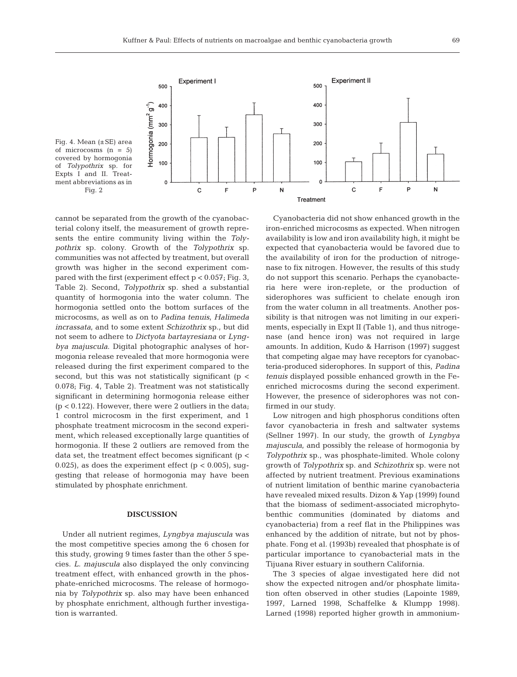

cannot be separated from the growth of the cyanobacterial colony itself, the measurement of growth represents the entire community living within the *Tolypothrix* sp. colony. Growth of the *Tolypothrix* sp. communities was not affected by treatment, but overall growth was higher in the second experiment compared with the first (experiment effect p < 0.057; Fig. 3, Table 2). Second, *Tolypothrix* sp. shed a substantial quantity of hormogonia into the water column. The hormogonia settled onto the bottom surfaces of the microcosms, as well as on to *Padina tenuis*, *Halimeda incrassata*, and to some extent *Schizothrix* sp., but did not seem to adhere to *Dictyota bartayresiana* or *Lyngbya majuscula*. Digital photographic analyses of hormogonia release revealed that more hormogonia were released during the first experiment compared to the second, but this was not statistically significant ( $p <$ 0.078; Fig. 4, Table 2). Treatment was not statistically significant in determining hormogonia release either  $(p < 0.122)$ . However, there were 2 outliers in the data; 1 control microcosm in the first experiment, and 1 phosphate treatment microcosm in the second experiment, which released exceptionally large quantities of hormogonia. If these 2 outliers are removed from the data set, the treatment effect becomes significant ( $p <$ 0.025), as does the experiment effect ( $p < 0.005$ ), suggesting that release of hormogonia may have been stimulated by phosphate enrichment.

# **DISCUSSION**

Under all nutrient regimes, *Lyngbya majuscula* was the most competitive species among the 6 chosen for this study, growing 9 times faster than the other 5 species. *L. majuscula* also displayed the only convincing treatment effect, with enhanced growth in the phosphate-enriched microcosms. The release of hormogonia by *Tolypothrix* sp. also may have been enhanced by phosphate enrichment, although further investigation is warranted.

Cyanobacteria did not show enhanced growth in the iron-enriched microcosms as expected. When nitrogen availability is low and iron availability high, it might be expected that cyanobacteria would be favored due to the availability of iron for the production of nitrogenase to fix nitrogen. However, the results of this study do not support this scenario. Perhaps the cyanobacteria here were iron-replete, or the production of siderophores was sufficient to chelate enough iron from the water column in all treatments. Another possibility is that nitrogen was not limiting in our experiments, especially in Expt II (Table 1), and thus nitrogenase (and hence iron) was not required in large amounts. In addition, Kudo & Harrison (1997) suggest that competing algae may have receptors for cyanobacteria-produced siderophores. In support of this, *Padina tenuis* displayed possible enhanced growth in the Feenriched microcosms during the second experiment. However, the presence of siderophores was not confirmed in our study.

Low nitrogen and high phosphorus conditions often favor cyanobacteria in fresh and saltwater systems (Sellner 1997). In our study, the growth of *Lyngbya majuscula*, and possibly the release of hormogonia by *Tolypothrix* sp., was phosphate-limited. Whole colony growth of *Tolypothrix* sp. and *Schizothrix* sp. were not affected by nutrient treatment. Previous examinations of nutrient limitation of benthic marine cyanobacteria have revealed mixed results. Dizon & Yap (1999) found that the biomass of sediment-associated microphytobenthic communities (dominated by diatoms and cyanobacteria) from a reef flat in the Philippines was enhanced by the addition of nitrate, but not by phosphate. Fong et al. (1993b) revealed that phosphate is of particular importance to cyanobacterial mats in the Tijuana River estuary in southern California.

The 3 species of algae investigated here did not show the expected nitrogen and/or phosphate limitation often observed in other studies (Lapointe 1989, 1997, Larned 1998, Schaffelke & Klumpp 1998). Larned (1998) reported higher growth in ammonium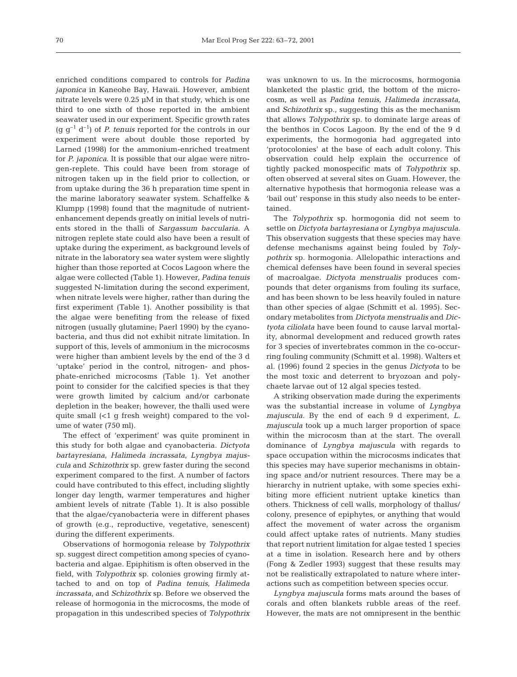enriched conditions compared to controls for *Padina japonica* in Kaneohe Bay, Hawaii. However, ambient nitrate levels were 0.25 µM in that study, which is one third to one sixth of those reported in the ambient seawater used in our experiment. Specific growth rates  $(q q^{-1} d^{-1})$  of *P. tenuis* reported for the controls in our experiment were about double those reported by Larned (1998) for the ammonium-enriched treatment for *P. japonica*. It is possible that our algae were nitrogen-replete. This could have been from storage of nitrogen taken up in the field prior to collection, or from uptake during the 36 h preparation time spent in the marine laboratory seawater system. Schaffelke & Klumpp (1998) found that the magnitude of nutrientenhancement depends greatly on initial levels of nutrients stored in the thalli of *Sargassum baccularia*. A nitrogen replete state could also have been a result of uptake during the experiment, as background levels of nitrate in the laboratory sea water system were slightly higher than those reported at Cocos Lagoon where the algae were collected (Table 1). However, *Padina tenuis* suggested N-limitation during the second experiment, when nitrate levels were higher, rather than during the first experiment (Table 1). Another possibility is that the algae were benefiting from the release of fixed nitrogen (usually glutamine; Paerl 1990) by the cyanobacteria, and thus did not exhibit nitrate limitation. In support of this, levels of ammonium in the microcosms were higher than ambient levels by the end of the 3 d 'uptake' period in the control, nitrogen- and phosphate-enriched microcosms (Table 1). Yet another point to consider for the calcified species is that they were growth limited by calcium and/or carbonate depletion in the beaker; however, the thalli used were quite small (<1 g fresh weight) compared to the volume of water (750 ml).

The effect of 'experiment' was quite prominent in this study for both algae and cyanobacteria. *Dictyota bartayresiana*, *Halimeda incrassata*, *Lyngbya majuscula* and *Schizothrix* sp. grew faster during the second experiment compared to the first. A number of factors could have contributed to this effect, including slightly longer day length, warmer temperatures and higher ambient levels of nitrate (Table 1). It is also possible that the algae/cyanobacteria were in different phases of growth (e.g., reproductive, vegetative, senescent) during the different experiments.

Observations of hormogonia release by *Tolypothrix* sp. suggest direct competition among species of cyanobacteria and algae. Epiphitism is often observed in the field, with *Tolypothrix* sp. colonies growing firmly attached to and on top of *Padina tenuis*, *Halimeda incrassata*, and *Schizothrix* sp. Before we observed the release of hormogonia in the microcosms, the mode of propagation in this undescribed species of *Tolypothrix* was unknown to us. In the microcosms, hormogonia blanketed the plastic grid, the bottom of the microcosm, as well as *Padina tenuis*, *Halimeda incrassata*, and *Schizothrix* sp., suggesting this as the mechanism that allows *Tolypothrix* sp. to dominate large areas of the benthos in Cocos Lagoon. By the end of the 9 d experiments, the hormogonia had aggregated into 'protocolonies' at the base of each adult colony. This observation could help explain the occurrence of tightly packed monospecific mats of *Tolypothrix* sp. often observed at several sites on Guam. However, the alternative hypothesis that hormogonia release was a 'bail out' response in this study also needs to be entertained.

The *Tolypothrix* sp. hormogonia did not seem to settle on *Dictyota bartayresiana* or *Lyngbya majuscula*. This observation suggests that these species may have defense mechanisms against being fouled by *Tolypothrix* sp. hormogonia. Allelopathic interactions and chemical defenses have been found in several species of macroalgae. *Dictyota menstrualis* produces compounds that deter organisms from fouling its surface, and has been shown to be less heavily fouled in nature than other species of algae (Schmitt et al. 1995). Secondary metabolites from *Dictyota menstrualis* and *Dictyota ciliolata* have been found to cause larval mortality, abnormal development and reduced growth rates for 3 species of invertebrates common in the co-occurring fouling community (Schmitt et al. 1998). Walters et al. (1996) found 2 species in the genus *Dictyota* to be the most toxic and deterrent to bryozoan and polychaete larvae out of 12 algal species tested.

A striking observation made during the experiments was the substantial increase in volume of *Lyngbya majuscula*. By the end of each 9 d experiment, *L. majuscula* took up a much larger proportion of space within the microcosm than at the start. The overall dominance of *Lyngbya majuscula* with regards to space occupation within the microcosms indicates that this species may have superior mechanisms in obtaining space and/or nutrient resources. There may be a hierarchy in nutrient uptake, with some species exhibiting more efficient nutrient uptake kinetics than others. Thickness of cell walls, morphology of thallus/ colony, presence of epiphytes, or anything that would affect the movement of water across the organism could affect uptake rates of nutrients. Many studies that report nutrient limitation for algae tested 1 species at a time in isolation. Research here and by others (Fong & Zedler 1993) suggest that these results may not be realistically extrapolated to nature where interactions such as competition between species occur.

*Lyngbya majuscula* forms mats around the bases of corals and often blankets rubble areas of the reef. However, the mats are not omnipresent in the benthic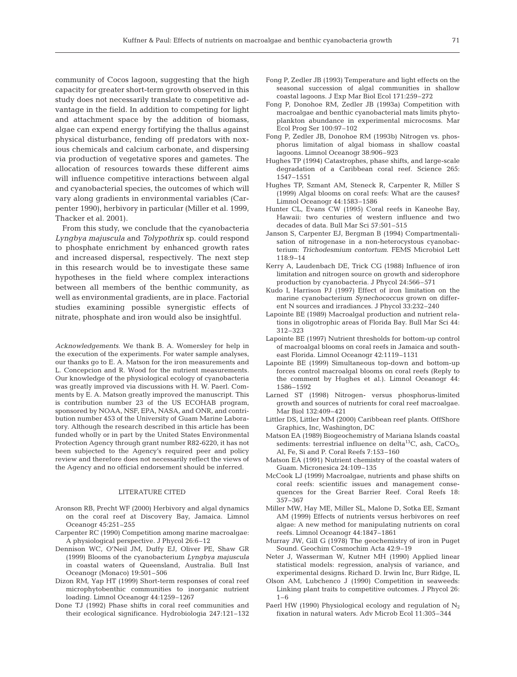community of Cocos lagoon, suggesting that the high capacity for greater short-term growth observed in this study does not necessarily translate to competitive advantage in the field. In addition to competing for light and attachment space by the addition of biomass, algae can expend energy fortifying the thallus against physical disturbance, fending off predators with noxious chemicals and calcium carbonate, and dispersing via production of vegetative spores and gametes. The allocation of resources towards these different aims will influence competitive interactions between algal and cyanobacterial species, the outcomes of which will vary along gradients in environmental variables (Carpenter 1990), herbivory in particular (Miller et al. 1999, Thacker et al. 2001).

From this study, we conclude that the cyanobacteria *Lyngbya majuscula* and *Tolypothrix* sp. could respond to phosphate enrichment by enhanced growth rates and increased dispersal, respectively. The next step in this research would be to investigate these same hypotheses in the field where complex interactions between all members of the benthic community, as well as environmental gradients, are in place. Factorial studies examining possible synergistic effects of nitrate, phosphate and iron would also be insightful.

*Acknowledgements.* We thank B. A. Womersley for help in the execution of the experiments. For water sample analyses, our thanks go to E. A. Matson for the iron measurements and L. Concepcion and R. Wood for the nutrient measurements. Our knowledge of the physiological ecology of cyanobacteria was greatly improved via discussions with H. W. Paerl. Comments by E. A. Matson greatly improved the manuscript. This is contribution number 23 of the US ECOHAB program, sponsored by NOAA, NSF, EPA, NASA, and ONR, and contribution number 453 of the University of Guam Marine Laboratory. Although the research described in this article has been funded wholly or in part by the United States Environmental Protection Agency through grant number R82-6220, it has not been subjected to the Agency's required peer and policy review and therefore does not necessarily reflect the views of the Agency and no official endorsement should be inferred.

#### LITERATURE CITED

- Aronson RB, Precht WF (2000) Herbivory and algal dynamics on the coral reef at Discovery Bay, Jamaica. Limnol Oceanogr 45:251–255
- Carpenter RC (1990) Competition among marine macroalgae: A physiological perspective. J Phycol 26:6–12
- Dennison WC, O'Neil JM, Duffy EJ, Oliver PE, Shaw GR (1999) Blooms of the cyanobacterium *Lyngbya majuscula* in coastal waters of Queensland, Australia. Bull Inst Oceanogr (Monaco) 19:501–506
- Dizon RM, Yap HT (1999) Short-term responses of coral reef microphytobenthic communities to inorganic nutrient loading. Limnol Oceanogr 44:1259–1267
- Done TJ (1992) Phase shifts in coral reef communities and their ecological significance. Hydrobiologia 247:121–132
- Fong P, Zedler JB (1993) Temperature and light effects on the seasonal succession of algal communities in shallow coastal lagoons. J Exp Mar Biol Ecol 171:259–272
- Fong P, Donohoe RM, Zedler JB (1993a) Competition with macroalgae and benthic cyanobacterial mats limits phytoplankton abundance in experimental microcosms. Mar Ecol Prog Ser 100:97–102
- Fong P, Zedler JB, Donohoe RM (1993b) Nitrogen vs. phosphorus limitation of algal biomass in shallow coastal lagoons. Limnol Oceanogr 38:906–923
- Hughes TP (1994) Catastrophes, phase shifts, and large-scale degradation of a Caribbean coral reef. Science 265: 1547–1551
- Hughes TP, Szmant AM, Steneck R, Carpenter R, Miller S (1999) Algal blooms on coral reefs: What are the causes? Limnol Oceanogr 44:1583–1586
- Hunter CL, Evans CW (1995) Coral reefs in Kaneohe Bay, Hawaii: two centuries of western influence and two decades of data. Bull Mar Sci 57:501–515
- Janson S, Carpenter EJ, Bergman B (1994) Compartmentalisation of nitrogenase in a non-heterocystous cyanobacterium: *Trichodesmium contortum*. FEMS Microbiol Lett 118:9–14
- Kerry A, Laudenbach DE, Trick CG (1988) Influence of iron limitation and nitrogen source on growth and siderophore production by cyanobacteria. J Phycol 24:566–571
- Kudo I, Harrison PJ (1997) Effect of iron limitation on the marine cyanobacterium *Synechococcus* grown on different N sources and irradiances. J Phycol 33:232–240
- Lapointe BE (1989) Macroalgal production and nutrient relations in oligotrophic areas of Florida Bay. Bull Mar Sci 44: 312–323
- Lapointe BE (1997) Nutrient thresholds for bottom-up control of macroalgal blooms on coral reefs in Jamaica and southeast Florida. Limnol Oceanogr 42:1119–1131
- Lapointe BE (1999) Simultaneous top-down and bottom-up forces control macroalgal blooms on coral reefs (Reply to the comment by Hughes et al.). Limnol Oceanogr 44: 1586–1592
- Larned ST (1998) Nitrogen- versus phosphorus-limited growth and sources of nutrients for coral reef macroalgae. Mar Biol 132:409–421
- Littler DS, Littler MM (2000) Caribbean reef plants. OffShore Graphics, Inc, Washington, DC
- Matson EA (1989) Biogeochemistry of Mariana Islands coastal sediments: terrestrial influence on delta<sup>13</sup>C, ash, CaCO<sub>3</sub>, Al, Fe, Si and P. Coral Reefs 7:153–160
- Matson EA (1991) Nutrient chemistry of the coastal waters of Guam. Micronesica 24:109–135
- McCook LJ (1999) Macroalgae, nutrients and phase shifts on coral reefs: scientific issues and management consequences for the Great Barrier Reef. Coral Reefs 18: 357–367
- Miller MW, Hay ME, Miller SL, Malone D, Sotka EE, Szmant AM (1999) Effects of nutrients versus herbivores on reef algae: A new method for manipulating nutrients on coral reefs. Limnol Oceanogr 44:1847–1861
- Murray JW, Gill G (1978) The geochemistry of iron in Puget Sound. Geochim Cosmochim Acta 42:9–19
- Neter J, Wasserman W, Kutner MH (1990) Applied linear statistical models: regression, analysis of variance, and experimental designs. Richard D. Irwin Inc, Burr Ridge, IL
- Olson AM, Lubchenco J (1990) Competition in seaweeds: Linking plant traits to competitive outcomes. J Phycol 26: 1–6
- Paerl HW (1990) Physiological ecology and regulation of  $N_2$ fixation in natural waters. Adv Microb Ecol 11:305–344